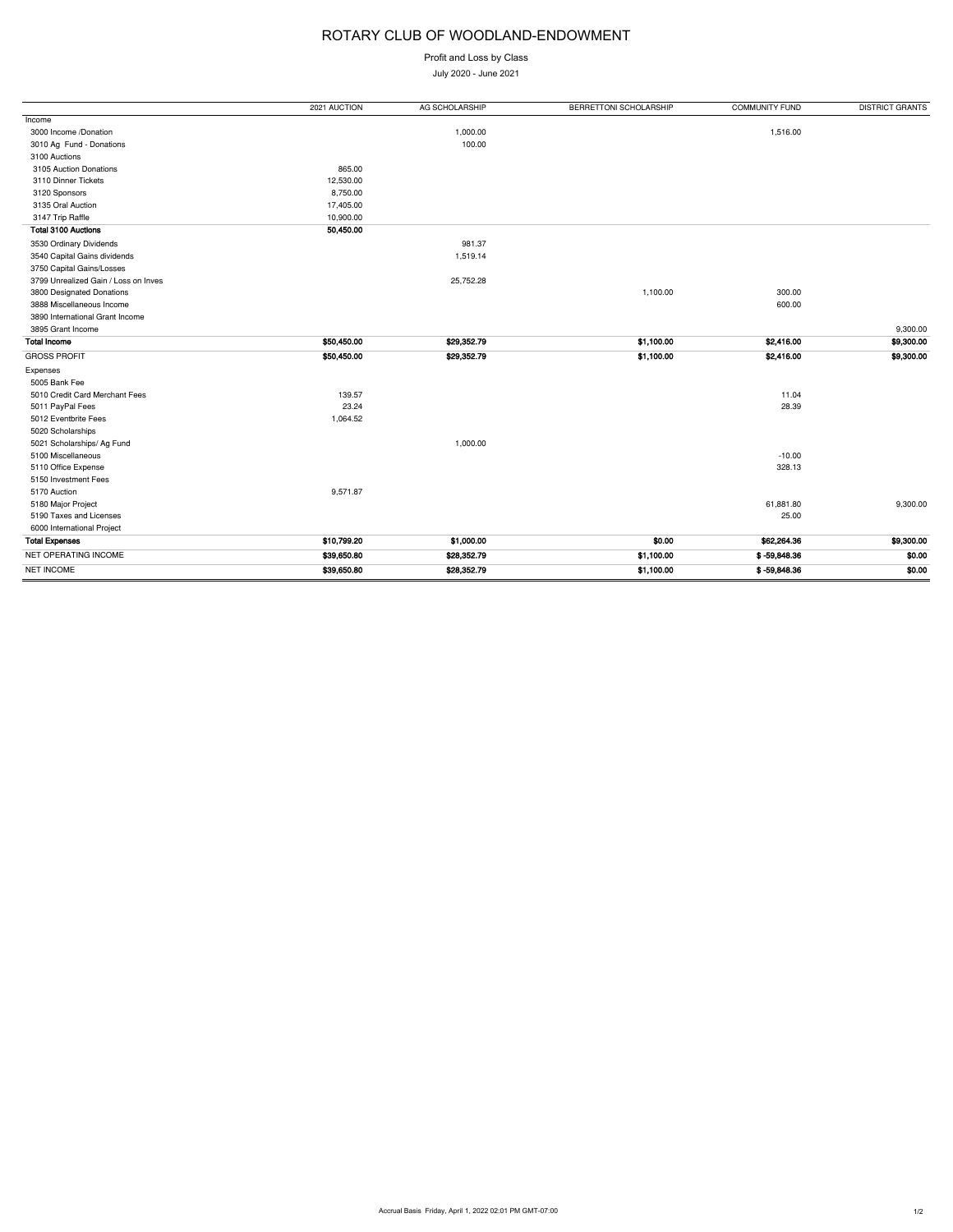## ROTARY CLUB OF WOODLAND-ENDOWMENT

Profit and Loss by Class

July 2020 - June 2021

| Income<br>1,516.00<br>3000 Income /Donation<br>1,000.00<br>3010 Ag Fund - Donations<br>100.00<br>3100 Auctions<br>865.00<br>3105 Auction Donations<br>3110 Dinner Tickets<br>12,530.00<br>3120 Sponsors<br>8,750.00<br>3135 Oral Auction<br>17,405.00<br>3147 Trip Raffle<br>10,900.00<br><b>Total 3100 Auctions</b><br>50,450.00<br>981.37<br>3530 Ordinary Dividends<br>3540 Capital Gains dividends<br>1,519.14<br>3750 Capital Gains/Losses<br>3799 Unrealized Gain / Loss on Inves<br>25,752.28<br>3800 Designated Donations<br>1,100.00<br>300.00<br>3888 Miscellaneous Income<br>600.00 |            |
|------------------------------------------------------------------------------------------------------------------------------------------------------------------------------------------------------------------------------------------------------------------------------------------------------------------------------------------------------------------------------------------------------------------------------------------------------------------------------------------------------------------------------------------------------------------------------------------------|------------|
|                                                                                                                                                                                                                                                                                                                                                                                                                                                                                                                                                                                                |            |
|                                                                                                                                                                                                                                                                                                                                                                                                                                                                                                                                                                                                |            |
|                                                                                                                                                                                                                                                                                                                                                                                                                                                                                                                                                                                                |            |
|                                                                                                                                                                                                                                                                                                                                                                                                                                                                                                                                                                                                |            |
|                                                                                                                                                                                                                                                                                                                                                                                                                                                                                                                                                                                                |            |
|                                                                                                                                                                                                                                                                                                                                                                                                                                                                                                                                                                                                |            |
|                                                                                                                                                                                                                                                                                                                                                                                                                                                                                                                                                                                                |            |
|                                                                                                                                                                                                                                                                                                                                                                                                                                                                                                                                                                                                |            |
|                                                                                                                                                                                                                                                                                                                                                                                                                                                                                                                                                                                                |            |
|                                                                                                                                                                                                                                                                                                                                                                                                                                                                                                                                                                                                |            |
|                                                                                                                                                                                                                                                                                                                                                                                                                                                                                                                                                                                                |            |
|                                                                                                                                                                                                                                                                                                                                                                                                                                                                                                                                                                                                |            |
|                                                                                                                                                                                                                                                                                                                                                                                                                                                                                                                                                                                                |            |
|                                                                                                                                                                                                                                                                                                                                                                                                                                                                                                                                                                                                |            |
|                                                                                                                                                                                                                                                                                                                                                                                                                                                                                                                                                                                                |            |
|                                                                                                                                                                                                                                                                                                                                                                                                                                                                                                                                                                                                |            |
| 3890 International Grant Income                                                                                                                                                                                                                                                                                                                                                                                                                                                                                                                                                                |            |
| 3895 Grant Income                                                                                                                                                                                                                                                                                                                                                                                                                                                                                                                                                                              | 9,300.00   |
| \$50,450.00<br>\$1,100.00<br><b>Total Income</b><br>\$29,352.79<br>\$2,416.00                                                                                                                                                                                                                                                                                                                                                                                                                                                                                                                  | \$9,300.00 |
| <b>GROSS PROFIT</b><br>\$50,450.00<br>\$1,100.00<br>\$2,416.00<br>\$29,352.79                                                                                                                                                                                                                                                                                                                                                                                                                                                                                                                  | \$9,300.00 |
| Expenses                                                                                                                                                                                                                                                                                                                                                                                                                                                                                                                                                                                       |            |
| 5005 Bank Fee                                                                                                                                                                                                                                                                                                                                                                                                                                                                                                                                                                                  |            |
| 139.57<br>5010 Credit Card Merchant Fees<br>11.04                                                                                                                                                                                                                                                                                                                                                                                                                                                                                                                                              |            |
| 23.24<br>28.39<br>5011 PayPal Fees                                                                                                                                                                                                                                                                                                                                                                                                                                                                                                                                                             |            |
| 5012 Eventbrite Fees<br>1,064.52                                                                                                                                                                                                                                                                                                                                                                                                                                                                                                                                                               |            |
| 5020 Scholarships                                                                                                                                                                                                                                                                                                                                                                                                                                                                                                                                                                              |            |
| 1,000.00<br>5021 Scholarships/ Ag Fund                                                                                                                                                                                                                                                                                                                                                                                                                                                                                                                                                         |            |
| 5100 Miscellaneous<br>$-10.00$                                                                                                                                                                                                                                                                                                                                                                                                                                                                                                                                                                 |            |
| 5110 Office Expense<br>328.13                                                                                                                                                                                                                                                                                                                                                                                                                                                                                                                                                                  |            |
| 5150 Investment Fees                                                                                                                                                                                                                                                                                                                                                                                                                                                                                                                                                                           |            |
| 5170 Auction<br>9,571.87                                                                                                                                                                                                                                                                                                                                                                                                                                                                                                                                                                       |            |
| 5180 Major Project<br>61,881.80                                                                                                                                                                                                                                                                                                                                                                                                                                                                                                                                                                | 9,300.00   |
| 5190 Taxes and Licenses<br>25.00                                                                                                                                                                                                                                                                                                                                                                                                                                                                                                                                                               |            |
| 6000 International Project                                                                                                                                                                                                                                                                                                                                                                                                                                                                                                                                                                     |            |
| <b>Total Expenses</b><br>\$10,799.20<br>\$1,000.00<br>\$0.00<br>\$62,264.36                                                                                                                                                                                                                                                                                                                                                                                                                                                                                                                    |            |
| NET OPERATING INCOME<br>\$39,650.80<br>\$1,100.00<br>$$ -59,848.36$<br>\$28,352.79                                                                                                                                                                                                                                                                                                                                                                                                                                                                                                             | \$9,300.00 |
| <b>NET INCOME</b><br>\$39,650.80<br>\$28,352.79<br>\$1,100.00<br>$$ -59,848.36$                                                                                                                                                                                                                                                                                                                                                                                                                                                                                                                | \$0.00     |